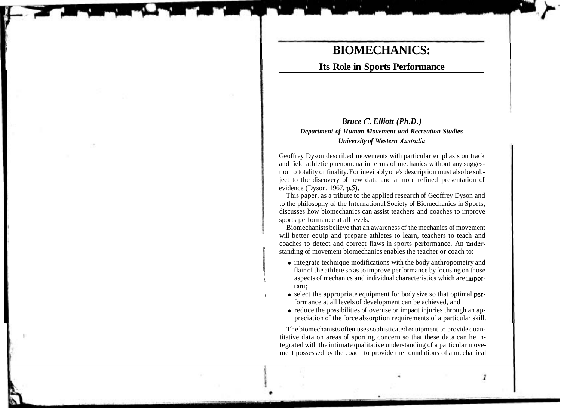# **IFFERENCE DESCRIPTION IN SPECIFICAL PROPERTY.**

# **1ts Role in Sports Performance**

## *Bruce C. Elliott (Ph.D.) Department of Human Movement and Recreation Studies University of Western Alistralia*

Geoffrey Dyson described movements with particular emphasis on track and field athletic phenomena in terms of mechanics without any suggestion to totality or finality. For inevitably one's description must also be subject to the discovery of new data and a more refined presentation of evidence (Dyson, 1967, p.5).

This paper, as a tribute to the applied research of Geoffrey Dyson and to the philosophy of the International Society of Biomechanics in Sports, discusses how biomechanics can assist teachers and coaches to improve sports performance at all levels.

Biomechanists believe that an awareness of the mechanics of movement will better equip and prepare athletes to learn, teachers to teach and coaches to detect and correct flaws in sports performance. An understanding of movement biomechanics enables the teacher or coach to:

- integrate technique modifications with the body anthropometry and **1** flair of the athlete so as to improve performance by focusing on those aspects of mechanics and individual characteristics which are important;
- select the appropriate equipment for body size so that optimal performance at all levels of development can be achieved, and
- reduce the possibilities of overuse or impact injuries through an appreciation of the force absorption requirements of a particular skill.

The biomechanists often uses sophisticated equipment to provide quantitative data on areas of sporting concern so that these data can he integrated with the intimate qualitative understanding of a particular movement possessed by the coach to provide the foundations of a mechanical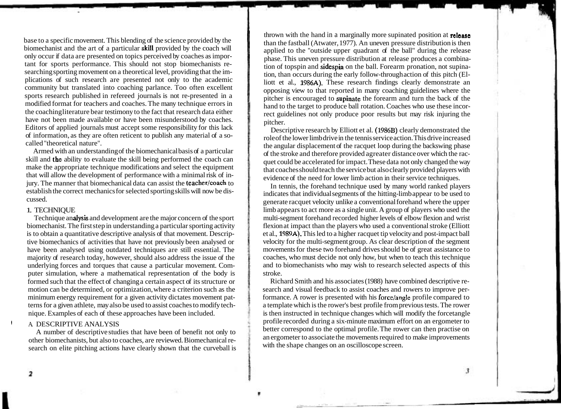base to a specific movement. This blending of the science provided by the biomechanist and the art of a particular skill provided by the coach will only occur if data are presented on topics perceived by coaches as important for sports performance. This should not stop biomechanists researching sporting movement on a theoretical level, providing that the implications of such research are presented not only to the academic community but translated into coaching parlance. Too often excellent sports research published in refereed journals is not re-presented in a modified format for teachers and coaches. The many technique errors in the coaching literature bear testimony to the fact that research data either have not been made available or have been misunderstood by coaches. Editors of applied journals must accept some responsibility for this lack of information, as they are often reticent to publish any material of a socalled "theoretical nature".

Armed with an understanding of the biomechanical basis of a particular skill and the ability to evaluate the skill being performed the coach can make the appropriate technique modifications and select the equipment that will allow the development of performance with a minimal risk of injury. The manner that biomechanical data can assist the teacher/coach to establish the correct mechanics for selected sporting skills will now be discussed.

### 1. TECHNIQUE

Technique analysis and development are the major concern of the sport biomechanist. The first step in understanding a particular sporting activity is to obtain a quantitative descriptive analysis of that movement. Descriptive biomechanics of activities that have not previously been analysed or have been analysed using outdated techniques are still essential. The majority of research today, however, should also address the issue of the underlying forces and torques that cause a particular movement. Computer simulation, where a mathematical representation of the body is formed such that the effect of changing a certain aspect of its structure or motion can be determined, or optimization, where a criterion such as the minimum energy requirement for a given activity dictates movement patterns for a given athlete, may also be used to assist coaches to modify technique. Examples of each of these approaches have been included.

### <sup>I</sup>A. DESCRIPTIVE ANALYSIS

A number of descriptive studies that have been of benefit not only to other biomechanists, but also to coaches, are reviewed. Biomechanical research on elite pitching actions have clearly shown that the curveball is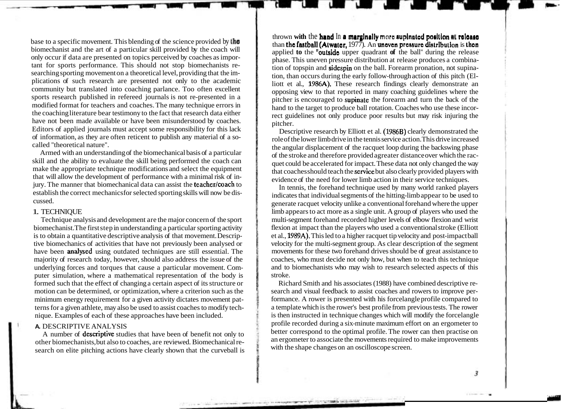thrown with the hand In a marginally more supinated position at release than the fastball (Atwater,  $1977$ ). An uneven pressure distribution is then applied **to** the "oulsido upper quadrant **of** the ball" during the release phase. This uneven pressure distribution at release produces a combination of topspin and sidespin on the ball. Forearm pronation, not supination, than occurs during the early follow-through action of this pitch (Elliott et al., 1986A). These research findings clearly demonstrate an opposing view to that reported in many coaching guidelines where the pitcher is encouraged to supinate the forearm and turn the back of the hand to the target to produce ball rotation. Coaches who use these incorrect guidelines not only produce poor results but may risk injuring the pitcher.

Descriptive research by Elliott et al. (1986B) clearly demonstrated the role of the lower limb drive in the tennis service action. This drive increased the angular displacement of the racquet loop during the backswing phase of the stroke and therefore provided agreater distance over which the racquet could be accelerated for impact. These data not only changed the way that coaches should teach the service but also clearly provided players with evidence of the need for lower limb action in their service techniques.

In tennis, the forehand technique used by many world ranked players indicates that individual segments of the hitting-limb appear to be used to generate racquet velocity unlike a conventional forehand where the upper limb appears to act more as a single unit. A group of players who used the multi-segment forehand recorded higher levels of elbow flexion and wrist flexion at impact than the players who used a conventional stroke (Elliott et al., 1989A). This led to a higher racquet tip velocity and post-impact ball velocity for the multi-segment group. As clear description of the segment movements for these two forehand drives should be of great assistance to coaches, who must decide not only how, but when to teach this technique and to biomechanists who may wish to research selected aspects of this stroke.

Richard Smith and his associates (1988) have combined descriptive research and visual feedback to assist coaches and rowers to improve performance. A rower is presented with his forcelangle profile compared to a template which is the rower's best profile from previous tests. The rower is then instructed in technique changes which will modify the forcelangle profile recorded during a six-minute maximum effort on an ergometer to better correspond to the optimal profile. The rower can then practise on an ergometer to associate the movements required to make improvements with the shape changes on an oscilloscope screen.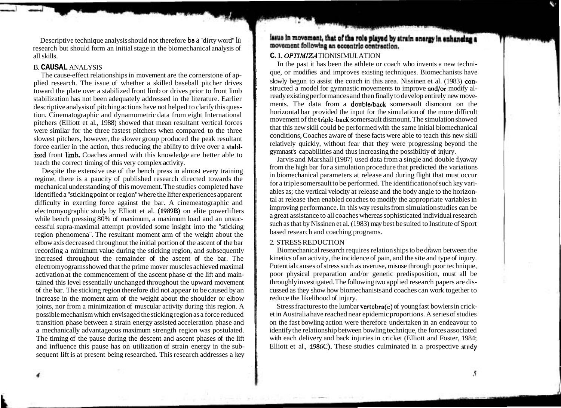Descriptive technique analysis should not therefore **be** a "dirty word" In research but should form an initial stage in the biomechanical analysis of all skills.

#### B. **CAUSAL** ANALYSIS

The cause-effect relationships in movement are the cornerstone of applied research. The issue of whether a skilled baseball pitcher drives toward the plate over a stabilized front limb or drives prior to front limb stabilization has not been adequately addressed in the literature. Earlier descriptive analysis of pitching actions have not helped to clarify this question. Cinematographic and dynamometric data from eight International pitchers (Elliott et al., 1988) showed that mean resultant vertical forces were similar for the three fastest pitchers when compared to the three slowest pitchers, however, the slower group produced the peak resultant force earlier in the action, thus reducing the ability to drive over a stablized front limb. Coaches armed with this knowledge are better able to teach the correct timing of this very complex activity.

Despite the extensive use of the bench press in almost every training regime, there is a paucity of published research directed towards the mechanical understanding of this movement. The studies completed have identified a "sticking point or region" where the lifter experiences apparent difficulty in exerting force against the bar. A cinemeatographic and electromyographic study by Elliott et al. (1989B) on elite powerlifters while bench pressing 80% of maximum, a maximum load and an unsuccessful supra-maximal attempt provided some insight into the "sticking region phenomena". The resultant moment arm of the weight about the elbow axis decreased throughout the initial portion of the ascent of the bar recording a minimum value during the sticking region, and subsequently increased throughout the remainder of the ascent of the bar. The electromyograms showed that the prime mover muscles achieved maximal activation at the commencement of the ascent phase of the lift and maintained this level essentially unchanged throughout the upward movement of the bar. The sticking region therefore did not appear to be caused by an increase in the moment arm of the weight about the shoulder or elbow joints, nor from a minimization of muscular activity during this region. A possible mechanism which envisaged the sticking region as a force reduced transition phase between a strain energy assisted acceleration phase and a mechanically advantageous maximum strength region was postulated. The timing of the pause during the descent and ascent phases of the lift and influence this pause has on utilization of strain energy in the subsequent lift is at present being researched. This research addresses a key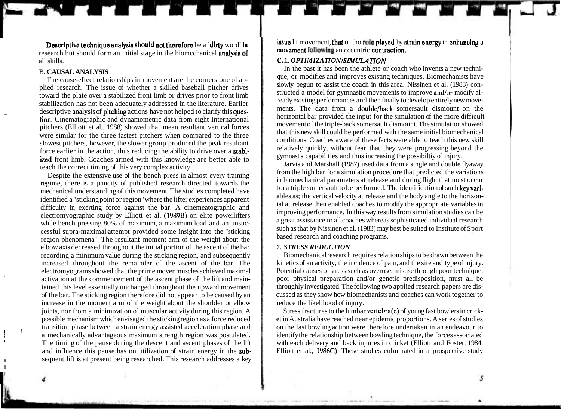## **Issue** In movoment, that of the role played by strain energy in enhancing a movement following an eccentric contraction.

## **C.** 1. *OPTIMIZA TIONISIMULA TION*

In the past it has been the athlete or coach who invents a new technique, or modifies and improves existing techniques. Biomechanists have slowly begun to assist the coach in this area. Nissinen et al. (1983) constructed a model for gymnastic movements to improve and/or modify already existing performances and then finally to develop entirely new movements. The data from a **double/back** somersault dismount on the horizontal bar provided the input for the simulation of the more difficult movement of the triple-back somersault dismount. The simulation showed that this new skill could be performed with the same initial biomechanical conditions. Coaches aware of these facts were able to teach this new skill relatively quickly, without fear that they were progressing beyond the gymnast's capabilities and thus increasing the possibiltiy of injury.

Jarvis and Marshall (1987) used data from a single and double flyaway from the high bar for a simulation procedure that predicted the variations in biomechanical parameters at release and during flight that must occur for a triple somersault to be performed. The identification of such keyvariables as; the vertical velocity at release and the body angle to the horizontal at release then enabled coaches to modify the appropriate variables in improving performance. In this way results from simulation studies can be a great assistance to all coaches whereas sophisticated individual research such as that by Nissinen et al. (1983) may best be suited to Institute of Sport based research and coaching programs.

## *2. STRESS REDUCTION*

Biomechanical research requires relation ships to be drawn between the kinetics of an activity, the incidence of pain, and the site and type of injury. Potential causes of stress such as overuse, misuse through poor technique, poor physical preparation and/or genetic predisposition, must all be throughly investigated. The following two applied research papers are discussed as they show how biomechanists and coaches can work together to reduce the likelihood of injury.

Stress fractures to the lumbar vertebra $(e)$  of young fast bowlers in cricket in Australia have reached near epidemic proportions. A series of studies on the fast bowling action were therefore undertaken in an endeavour to identify the relationship between bowling technique, the forces associated with each delivery and back injuries in cricket (Elliott and Foster, 1984; Elliott et al., 1986C). These studies culminated in a prospective study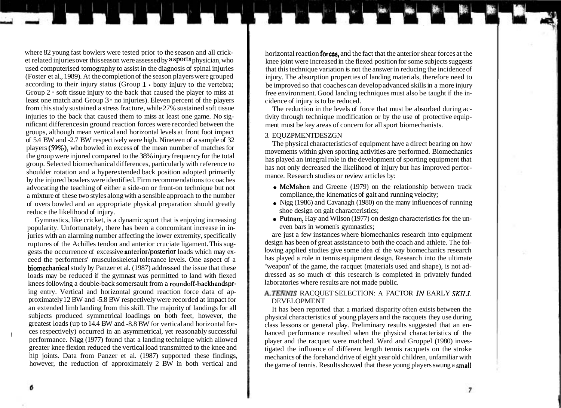where 82 young fast bowlers were tested prior to the season and all cricket related injuries over this season were assessed by asports physician, who used computerised tomography to assist in the diagnosis of spinal injuries (Foster et al., 1989). At the completion of the season players were grouped according to their injury status (Group  $1 \cdot$  bony injury to the vertebra; Group 2 - soft tissue injury to the back that caused the player to miss at least one match and Group 3 - no injuries). Eleven percent of the players from this study sustained a stress fracture, while 27% sustained soft tissue injuries to the back that caused them to miss at least one game. No significant differences in ground reaction forces were recorded between the groups, although mean vertical and horizontal levels at front foot impact of 5.4 BW and -2.7 BW respectively were high. Nineteen of a sample of 32 players (59%), who bowled in excess of the mean number of matches for the group were injured compared to the 38% injury frequency for the total group. Selected biomechanical differences, particularly with reference to shoulder rotation and a hyperextended back position adopted primarily by the injured bowlers were identified. Firm recommendations to coaches advocating the teaching of either a side-on or front-on technique but not a mixture of these two styles along with a sensible approach to the number of overs bowled and an appropriate physical preparation should greatly reduce the likelihood of injury.

Gymnastics, like cricket, is a dynamic sport that is enjoying increasing popularity. Unfortunately, there has been a concomitant increase in injuries with an alarming number affecting the lower extremity, specifically ruptures of the Achilles tendon and anterior cruciate ligament. This suggests the occurrence of excessive anterior/posterior loads which may exceed the performers' musculoskeletal tolerance levels. One aspect of a biomechanical study by Panzer et al. (1987) addressed the issue that these loads may be reduced if the gymnast was permitted to land with flexed knees following a double-back somersault from a roundoff-backhandspring entry. Vertical and horizontal ground reaction force data of approximately 12 BW and -5.8 BW respectively were recorded at impact for an extended limb landing from this skill. The majority of landings for all subjects produced symmetrical loadings on both feet, however, the greatest loads (up to 14.4 BW and -8.8 BW for vertical and horizontal forces respectively) occurred in an asymmetrical, yet reasonably successful  $\mu$  ces respectively) occurred in an asymmetrical, yet reasonably successful<br>performance. Nigg (1977) found that a landing technique which allowed greater knee flexion reduced the vertical load transmitted to the knee and hip joints. Data from Panzer et al. (1987) supported these findings, however, the reduction of approximately 2 BW in both vertical and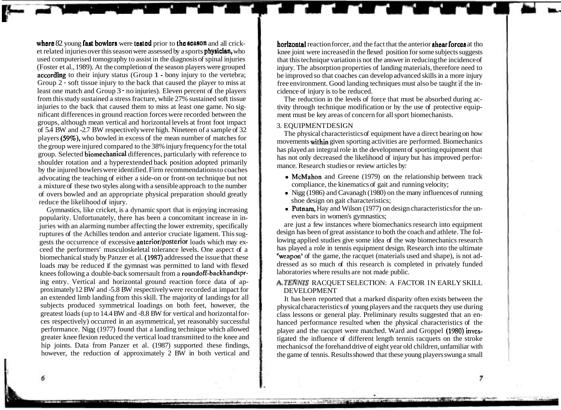**horizontal** reaction forcer, and the fact that the anterior **shear forces** at tho knee joint were increased in the flexed position for some subjects suggests that this technique variation is not the answer in reducing the incidence of injury. The absorption properties of landing materials, therefore need to be improved so that coaches can develop advanced skills in a more injury free environment. Good landing techniques must also be taught **if** the incidence of injury is to be reduced.

The reduction in the levels of force that must be absorbed during activity through technique modification or by the use of protective equipment must be key areas of concern for all sport biomechanists.

## 3. EQUIPMENT DESIGN

The physical characteristics of equipment have a direct bearing on how movements within given sporting activities are performed. Biomechanics has played an integral role in the development of sporting equipment that has not only decreased the likelihood of injury but has improved performance. Research studies or review articles by:

- McMahon and Greene (1979) on the relationship between track compliance, the kinematics of gait and running velocity;
- Nigg (1986) and Cavanagh (1980) on the many influences of running shoe design on gait characteristics;
- Putnam, Hay and Wilson (1977) on design characteristics for the uneven bars in women's gymnastics;

are just a few instances where biomechanics research into equipment design has been of great assistance to both the coach and athlete. The following applied studies give some idea of the way biomechanics research has played a role in tennis equipment design. Research into the ultimate "weapon" of the game, the racquet (materials used and shape), is not addressed as so much of this research is completed in privately funded laboratories where results are not made public.

## A.TENNIS RACQUET SELECTION: A FACTOR IN EARLY SKILL DEVELOPMENT

It has been reported that a marked disparity often exists between the i physical characteristics of young players and the racquets they use during , class lessons or general play. Preliminary results suggested that an enhanced performance resulted when the physical characteristics of the player and the racquet were matched. Ward and Groppel (1980) investigated the influence of different length tennis racquets on the stroke **<sup>i</sup>**mechanics of the forehand drive of eight year old children, unfamiliar with the game of tennis. Results showed that these young players swung a small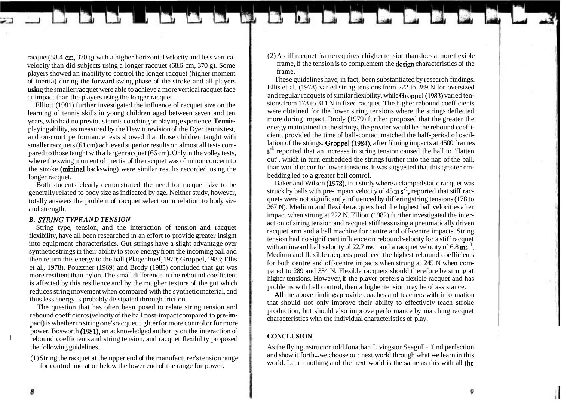racquet(58.4 **crn,** 370 g) with a higher horizontal velocity and less vertical velocity than did subjects using a longer racquet (68.6 cm, 370 g). Some players showed an inability to control the longer racquet (higher moment of inertia) during the forward swing phase of the stroke and all players using the smaller racquet were able to achieve a more vertical racquet face at impact than the players using the longer racquet.

Elliott (1981) further investigated the influence of racquet size on the learning of tennis skills in young children aged between seven and ten years, who had no previous tennis coaching or playing experience. Tennisplaying ability, as measured by the Hewitt revision of the Dyer tennis test, and on-court performance tests showed that those children taught with smaller racquets (61 cm) achieved superior results on almost all tests compared to those taught with a larger racquet (66 cm). Only in the volley tests, where the swing moment of inertia of the racquet was of minor concern to the stroke (mininal backswing) were similar results recorded using the longer racquet.

Both students clearly demonstrated the need for racquet size to be generally related to body size as indicated by age. Neither study, however, totally answers the problem of racquet selection in relation to body size and strength.

#### *B. STRING TWE AND TENSION*

String type, tension, and the interaction of tension and racquet flexibility, have all been researched in an effort to provide greater insight into equipment characteristics. Gut strings have a slight advantage over synthetic strings in their ability to store energy from the incoming ball and then return this energy to the ball (Plagenhoef, 1970; Groppel, 1983; Ellis et al., 1978). Pouzzner (1969) and Brody (1985) concluded that gut was more resilient than nylon. The small difference in the rebound coefficient is affected by this resilience and by the rougher texture of the gut which reduces string movement when compared with the synthetic material, and thus less energy is probably dissipated through friction.

The question that has often been posed to relate string tension and rebound coefficients (velocity of the ball post-impact compared to pre-impact) is whether to string one's racquet tighter for more control or for more power. Bosworth (1981), an acknowledged authority on the interaction of <sup>1</sup>rebound coefficients and string tension, and racquet flexibility proposed the following guidelines.

(1) String the racquet at the upper end of the manufacturer's tension range for control and at or below the lower end of the range for power.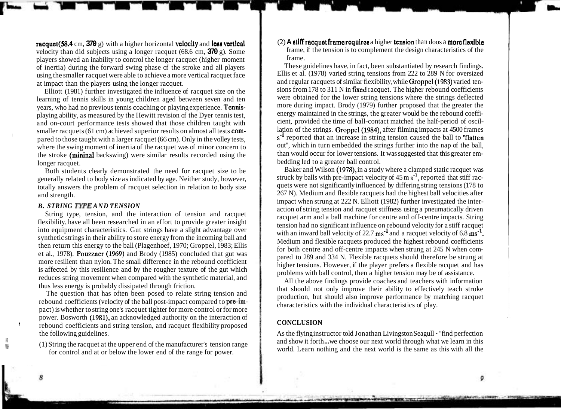(2) **A** stlflrecquot framo roqulres a higher tcnaion than doos a morc flexlblo frame, if the tension is to complement the design characteristics of the frame.

These guidelines have, in fact, been substantiated by research findings. Ellis et al. (1978) varied string tensions from 222 to 289 N for oversized and regular racquets of similar flexibility, while Groppel(1983) varied tensions from 178 to 311 N in fixed racquet. The higher rebound coefficients were obtained for the lower string tensions where the strings deflected more during impact. Brody (1979) further proposed that the greater the energy maintained in the strings, the greater would be the rebound coefficient, provided the time of ball-contact matched the half-period of oscillation of the strings. Groppel (1984), after filming impacts at 4500 frames s<sup>-1</sup> reported that an increase in string tension caused the ball to "flatten" out", which in turn embedded the strings further into the nap of the ball, than would occur for lower tensions. It was suggested that this greater embedding led to a greater ball control.

Baker and Wilson (1978), in a study where a clamped static racquet was struck by balls with pre-impact velocity of  $45 \text{ m s}^{-1}$ , reported that stiff racquets were not significantly influenced by differing string tensions (178 to 267 N). Medium and flexible racquets had the highest ball velocities after impact when strung at 222 N. Elliott (1982) further investigated the interaction of string tension and racquet stiffness using a pneumatically driven racquet arm and a ball machine for centre and off-centre impacts. String tension had no significant influence on rebound velocity for a stiff racquet with an inward ball velocity of 22.7  $\text{ms}^{-1}$  and a racquet velocity of 6.8 ms<sup>-1</sup>. Medium and flexible racquets produced the highest rebound coefficients for both centre and off-centre impacts when strung at 245 N when compared to 289 and 334 N. Flexible racquets should therefore be strung at higher tensions. However, if the player prefers a flexible racquet and has problems with ball control, then a higher tension may be of assistance.

All the above findings provide coaches and teachers with information that should not only improve their ability to effectively teach stroke production, but should also improve performance by matching racquet characteristics with the individual characteristics of play.

#### **CONCLUSION**

As the flying instructor told Jonathan Livingston Seagull - "find perfection and show it forth ... we choose our next world through what we learn in this world. Learn nothing and the next world is the same as this with all the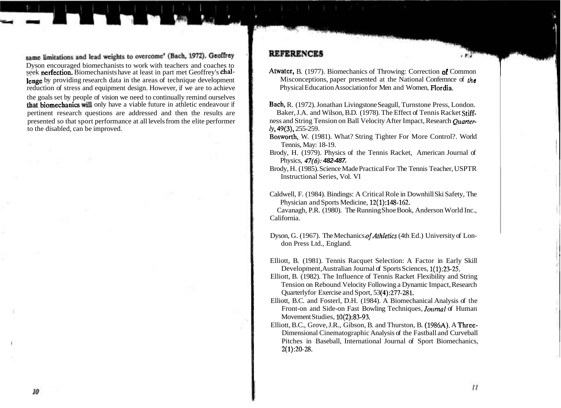## Dyson encouraged biomechanists to work with teachers and coaches to Dyson encouraged biomechanists to work with teachers and coaches to<br>seek **perfection**. Biomechanists have at least in part met Geoffrey's **chal**lenge by providing research data in the areas of technique development reduction of stress and equipment design. However, if we are to achieve the goals set by people of vision we need to continually remind ourselves **that biomechanics will** only have a viable future in athletic endeavour if pertinent research questions are addressed and then the results are presented so that sport performance at all levels from the elite performer to the disabled, can be improved.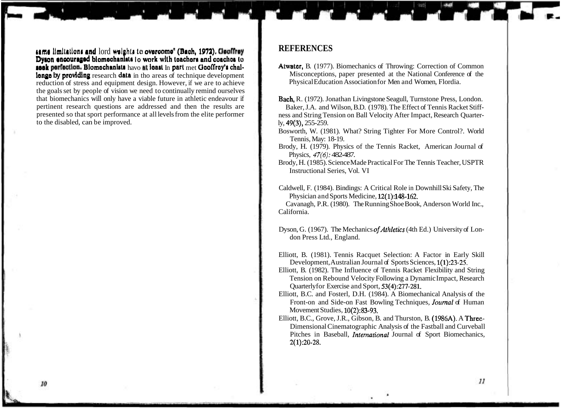## **REFERENCES**

- Alwalcr, B. (1977). Biomechanics of Throwing: Correction of Common Misconceptions, paper presented at the National Conference of the Physical Education Association for Men and Women, Flordia.
- Bach, R. (1972). Jonathan Livingstone Seagull, Turnstone Press, London. Baker, J.A. and Wilson, B.D. (1978). The Effect of Tennis Racket Stiffness and String Tension on Ball Velocity After Impact, Research Quarterly, 49(3), 255-259.
- Bosworth, W. (1981). What? String Tighter For More Control?. World Tennis, May: 18-19.
- Brody, H. (1979). Physics of the Tennis Racket, American Journal of Physics, **47(6):** 482-487.
- Brody, H. (1985). Science Made Practical For The Tennis Teacher, USPTR Instructional Series, Vol. VI
- Caldwell, F. (1984). Bindings: A Critical Role in Downhill Ski Safety, The Physician and Sports Medicine, 12(1): 148-162.

Cavanagh, P.R. (1980). The Running Shoe Book, Anderson World Inc., California.

- Dyson, G. (1967). The Mechanics of Athletics (4th Ed.) University of London Press Ltd., England.
- Elliott, B. (1981). Tennis Racquet Selection: A Factor in Early Skill Development, Australian Journal of Sports Sciences, 1(1):23-25.
- Elliott, B. (1982). The Influence of Tennis Racket Flexibility and String Tension on Rebound Velocity Following a Dynamic Impact, Research Quarterly for Exercise and Sport, 53(4):277-281.
- Elliott, B.C. and Fosterl, D.H. (1984). A Biomechanical Analysis of the Front-on and Side-on Fast Bowling Techniques, Journal of Human Movement Studies, 10(2):83-93.
- Elliott, B.C., Grove, J.R., Gibson, B. and Thurston, B. (1986A). A Three-Dimensional Cinematographic Analysis of the Fastball and Curveball Pitches in Baseball, *International* Journal of Sport Biomechanics, 2(1):20-28.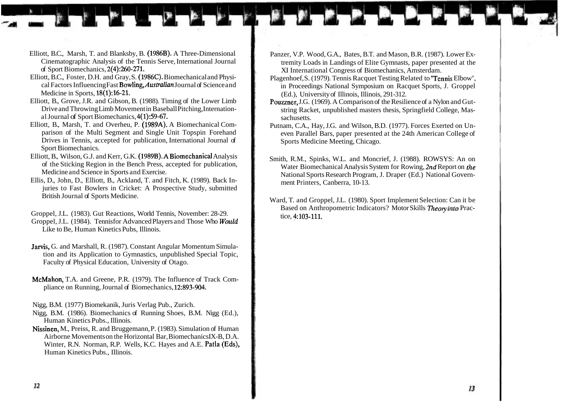- Elliott, B.C., Marsh, T. and Blanksby, B. (1986B). A Three-Dimensional Cinematographic Analysis of the Tennis Serve, International Journal of Sport Biomechanics, 2(4):260-271.
- Elliott, B.C., Foster, D.H. and Gray, S. (1986C). Biomechanical and Physical Factors Influencing Fast Bowling, Australian Journal of Science and Medicine in Sports, 18(1):16-21.
- Elliott, B., Grove, J.R. and Gibson, B. (1988). Timing of the Lower Limb Drive and Throwing Limb Movement in Baseball Pitching, International Journal of Sport Biomechanics, 4(1):59-67.
- Elliott, B., Marsh, T. and Overheu, P. (1989A). A Biomechanical Comparison of the Multi Segment and Single Unit Topspin Forehand Drives in Tennis, accepted for publication, International Journal of Sport Biomechanics.
- Elliott, B., Wilson, G.J. and Kerr, G.K. (1989B). ABiomechanical Analysis of the Sticking Region in the Bench Press, accepted for publication, Medicine and Science in Sports and Exercise.
- Ellis, D., John, D., Elliott, B., Ackland, T. and Fitch, K. (1989). Back Injuries to Fast Bowlers in Cricket: A Prospective Study, submitted British Journal of Sports Medicine.
- Groppel, J.L. (1983). Gut Reactions, World Tennis, November: 28-29.
- Groppel, J.L. (1984). Tennisfor Advanced Players and Those Who Would Like to Be, Human Kinetics Pubs, Illinois.
- Jarvis, G. and Marshall, R. (1987). Constant Angular Momentum Simulation and its Application to Gymnastics, unpublished Special Topic, Faculty of Physical Education, University of Otago.
- McMahon, T.A. and Greene, P.R. (1979). The Influence of Track Compliance on Running, Journal of Biomechanics, 122393-904.
- Nigg, B.M. (1977) Biomekanik, Juris Verlag Pub., Zurich.
- Nigg, B.M. (1986). Biomechanics of Running Shoes, B.M. Nigg (Ed.), Human Kinetics Pubs., Illinois.
- Nissinen, M., Preiss, R. and Bruggemann, P. (1983). Simulation of Human Airborne Movements on the Horizontal Bar, Biomechanics IX-B, D.A. Winter, R.N. Norman, R.P. Wells, K.C. Hayes and A.E. Patla (Eds), Human Kinetics Pubs., Illinois.